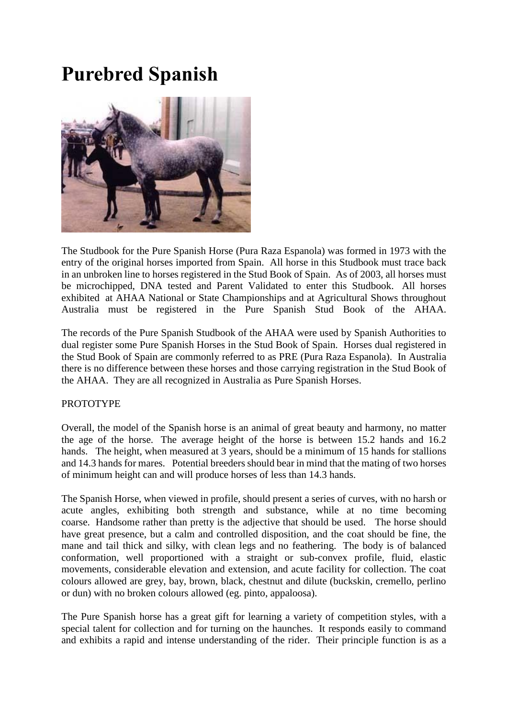## **Purebred Spanish**



The Studbook for the Pure Spanish Horse (Pura Raza Espanola) was formed in 1973 with the entry of the original horses imported from Spain. All horse in this Studbook must trace back in an unbroken line to horses registered in the Stud Book of Spain. As of 2003, all horses must be microchipped, DNA tested and Parent Validated to enter this Studbook. All horses exhibited at AHAA National or State Championships and at Agricultural Shows throughout Australia must be registered in the Pure Spanish Stud Book of the AHAA.

The records of the Pure Spanish Studbook of the AHAA were used by Spanish Authorities to dual register some Pure Spanish Horses in the Stud Book of Spain. Horses dual registered in the Stud Book of Spain are commonly referred to as PRE (Pura Raza Espanola). In Australia there is no difference between these horses and those carrying registration in the Stud Book of the AHAA. They are all recognized in Australia as Pure Spanish Horses.

## PROTOTYPE

Overall, the model of the Spanish horse is an animal of great beauty and harmony, no matter the age of the horse. The average height of the horse is between 15.2 hands and 16.2 hands. The height, when measured at 3 years, should be a minimum of 15 hands for stallions and 14.3 hands for mares. Potential breeders should bear in mind that the mating of two horses of minimum height can and will produce horses of less than 14.3 hands.

The Spanish Horse, when viewed in profile, should present a series of curves, with no harsh or acute angles, exhibiting both strength and substance, while at no time becoming coarse. Handsome rather than pretty is the adjective that should be used. The horse should have great presence, but a calm and controlled disposition, and the coat should be fine, the mane and tail thick and silky, with clean legs and no feathering. The body is of balanced conformation, well proportioned with a straight or sub-convex profile, fluid, elastic movements, considerable elevation and extension, and acute facility for collection. The coat colours allowed are grey, bay, brown, black, chestnut and dilute (buckskin, cremello, perlino or dun) with no broken colours allowed (eg. pinto, appaloosa).

The Pure Spanish horse has a great gift for learning a variety of competition styles, with a special talent for collection and for turning on the haunches. It responds easily to command and exhibits a rapid and intense understanding of the rider. Their principle function is as a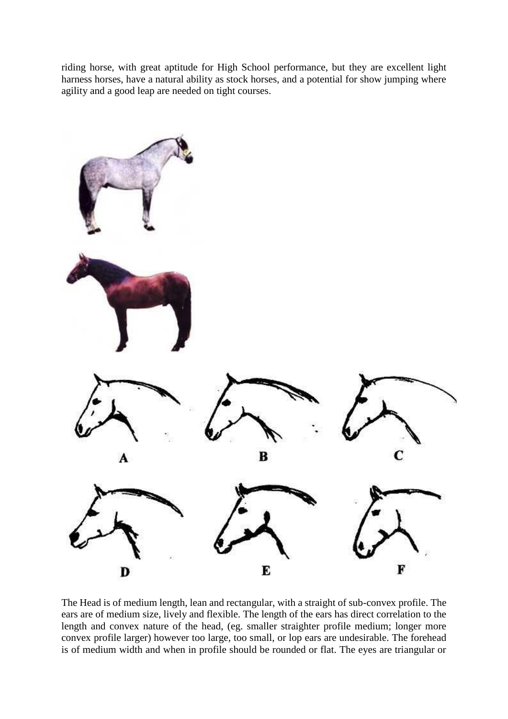riding horse, with great aptitude for High School performance, but they are excellent light harness horses, have a natural ability as stock horses, and a potential for show jumping where agility and a good leap are needed on tight courses.



The Head is of medium length, lean and rectangular, with a straight of sub-convex profile. The ears are of medium size, lively and flexible. The length of the ears has direct correlation to the length and convex nature of the head, (eg. smaller straighter profile medium; longer more convex profile larger) however too large, too small, or lop ears are undesirable. The forehead is of medium width and when in profile should be rounded or flat. The eyes are triangular or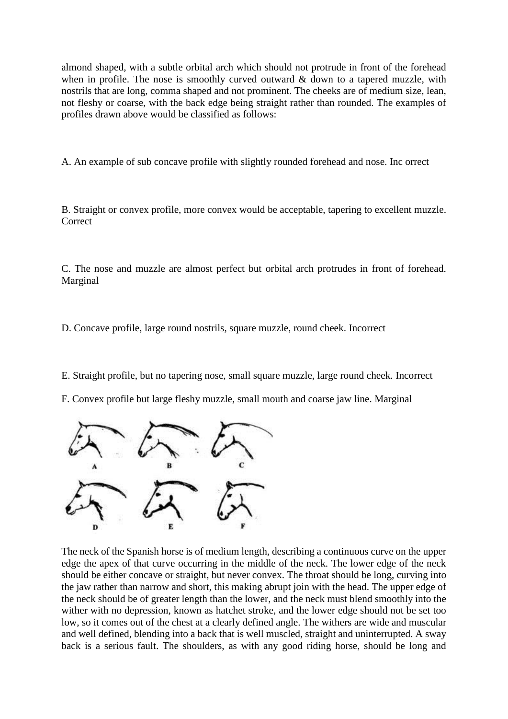almond shaped, with a subtle orbital arch which should not protrude in front of the forehead when in profile. The nose is smoothly curved outward  $\&$  down to a tapered muzzle, with nostrils that are long, comma shaped and not prominent. The cheeks are of medium size, lean, not fleshy or coarse, with the back edge being straight rather than rounded. The examples of profiles drawn above would be classified as follows:

A. An example of sub concave profile with slightly rounded forehead and nose. Inc orrect

B. Straight or convex profile, more convex would be acceptable, tapering to excellent muzzle. **Correct** 

C. The nose and muzzle are almost perfect but orbital arch protrudes in front of forehead. Marginal

D. Concave profile, large round nostrils, square muzzle, round cheek. Incorrect

E. Straight profile, but no tapering nose, small square muzzle, large round cheek. Incorrect

F. Convex profile but large fleshy muzzle, small mouth and coarse jaw line. Marginal



The neck of the Spanish horse is of medium length, describing a continuous curve on the upper edge the apex of that curve occurring in the middle of the neck. The lower edge of the neck should be either concave or straight, but never convex. The throat should be long, curving into the jaw rather than narrow and short, this making abrupt join with the head. The upper edge of the neck should be of greater length than the lower, and the neck must blend smoothly into the wither with no depression, known as hatchet stroke, and the lower edge should not be set too low, so it comes out of the chest at a clearly defined angle. The withers are wide and muscular and well defined, blending into a back that is well muscled, straight and uninterrupted. A sway back is a serious fault. The shoulders, as with any good riding horse, should be long and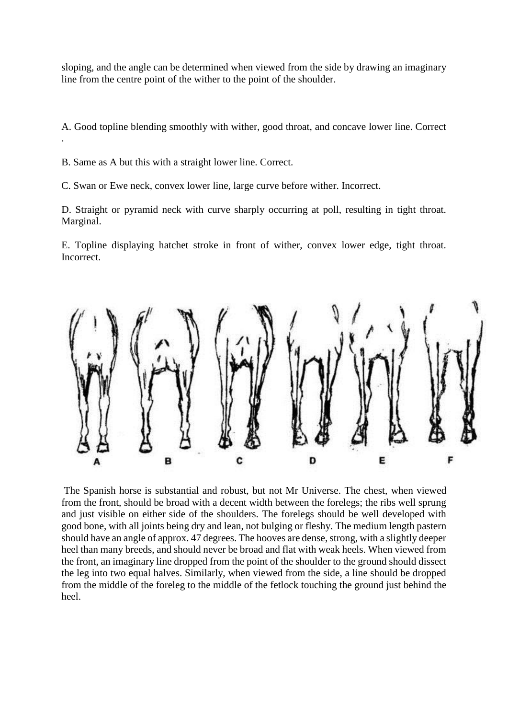sloping, and the angle can be determined when viewed from the side by drawing an imaginary line from the centre point of the wither to the point of the shoulder.

A. Good topline blending smoothly with wither, good throat, and concave lower line. Correct

B. Same as A but this with a straight lower line. Correct.

.

C. Swan or Ewe neck, convex lower line, large curve before wither. Incorrect.

D. Straight or pyramid neck with curve sharply occurring at poll, resulting in tight throat. Marginal.

E. Topline displaying hatchet stroke in front of wither, convex lower edge, tight throat. Incorrect.



The Spanish horse is substantial and robust, but not Mr Universe. The chest, when viewed from the front, should be broad with a decent width between the forelegs; the ribs well sprung and just visible on either side of the shoulders. The forelegs should be well developed with good bone, with all joints being dry and lean, not bulging or fleshy. The medium length pastern should have an angle of approx. 47 degrees. The hooves are dense, strong, with a slightly deeper heel than many breeds, and should never be broad and flat with weak heels. When viewed from the front, an imaginary line dropped from the point of the shoulder to the ground should dissect the leg into two equal halves. Similarly, when viewed from the side, a line should be dropped from the middle of the foreleg to the middle of the fetlock touching the ground just behind the heel.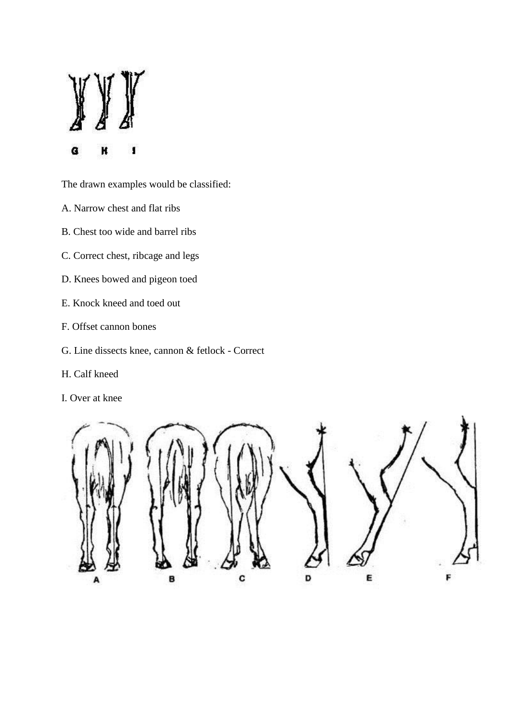G K ı

The drawn examples would be classified:

- A. Narrow chest and flat ribs
- B. Chest too wide and barrel ribs
- C. Correct chest, ribcage and legs
- D. Knees bowed and pigeon toed
- E. Knock kneed and toed out
- F. Offset cannon bones
- G. Line dissects knee, cannon & fetlock Correct
- H. Calf kneed
- I. Over at knee

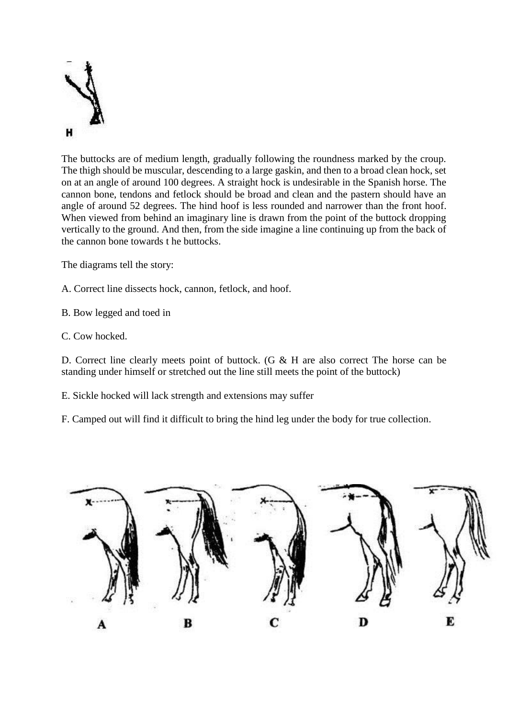

The buttocks are of medium length, gradually following the roundness marked by the croup. The thigh should be muscular, descending to a large gaskin, and then to a broad clean hock, set on at an angle of around 100 degrees. A straight hock is undesirable in the Spanish horse. The cannon bone, tendons and fetlock should be broad and clean and the pastern should have an angle of around 52 degrees. The hind hoof is less rounded and narrower than the front hoof. When viewed from behind an imaginary line is drawn from the point of the buttock dropping vertically to the ground. And then, from the side imagine a line continuing up from the back of the cannon bone towards t he buttocks.

The diagrams tell the story:

A. Correct line dissects hock, cannon, fetlock, and hoof.

B. Bow legged and toed in

C. Cow hocked.

D. Correct line clearly meets point of buttock. (G & H are also correct The horse can be standing under himself or stretched out the line still meets the point of the buttock)

E. Sickle hocked will lack strength and extensions may suffer

F. Camped out will find it difficult to bring the hind leg under the body for true collection.

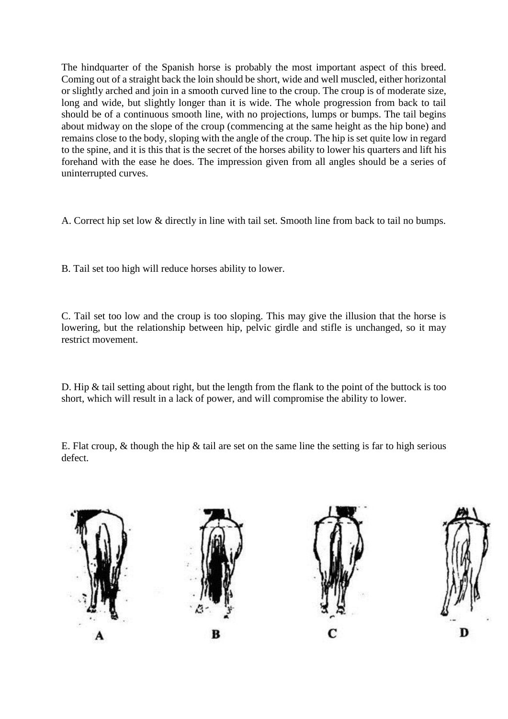The hindquarter of the Spanish horse is probably the most important aspect of this breed. Coming out of a straight back the loin should be short, wide and well muscled, either horizontal or slightly arched and join in a smooth curved line to the croup. The croup is of moderate size, long and wide, but slightly longer than it is wide. The whole progression from back to tail should be of a continuous smooth line, with no projections, lumps or bumps. The tail begins about midway on the slope of the croup (commencing at the same height as the hip bone) and remains close to the body, sloping with the angle of the croup. The hip is set quite low in regard to the spine, and it is this that is the secret of the horses ability to lower his quarters and lift his forehand with the ease he does. The impression given from all angles should be a series of uninterrupted curves.

A. Correct hip set low & directly in line with tail set. Smooth line from back to tail no bumps.

B. Tail set too high will reduce horses ability to lower.

C. Tail set too low and the croup is too sloping. This may give the illusion that the horse is lowering, but the relationship between hip, pelvic girdle and stifle is unchanged, so it may restrict movement.

D. Hip & tail setting about right, but the length from the flank to the point of the buttock is too short, which will result in a lack of power, and will compromise the ability to lower.

E. Flat croup,  $\&$  though the hip  $\&$  tail are set on the same line the setting is far to high serious defect.

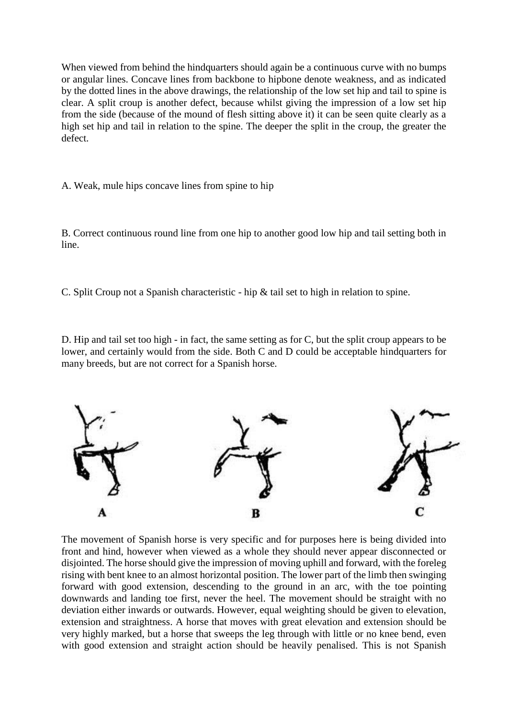When viewed from behind the hindquarters should again be a continuous curve with no bumps or angular lines. Concave lines from backbone to hipbone denote weakness, and as indicated by the dotted lines in the above drawings, the relationship of the low set hip and tail to spine is clear. A split croup is another defect, because whilst giving the impression of a low set hip from the side (because of the mound of flesh sitting above it) it can be seen quite clearly as a high set hip and tail in relation to the spine. The deeper the split in the croup, the greater the defect.

A. Weak, mule hips concave lines from spine to hip

B. Correct continuous round line from one hip to another good low hip and tail setting both in line.

C. Split Croup not a Spanish characteristic - hip & tail set to high in relation to spine.

D. Hip and tail set too high - in fact, the same setting as for C, but the split croup appears to be lower, and certainly would from the side. Both C and D could be acceptable hindquarters for many breeds, but are not correct for a Spanish horse.



The movement of Spanish horse is very specific and for purposes here is being divided into front and hind, however when viewed as a whole they should never appear disconnected or disjointed. The horse should give the impression of moving uphill and forward, with the foreleg rising with bent knee to an almost horizontal position. The lower part of the limb then swinging forward with good extension, descending to the ground in an arc, with the toe pointing downwards and landing toe first, never the heel. The movement should be straight with no deviation either inwards or outwards. However, equal weighting should be given to elevation, extension and straightness. A horse that moves with great elevation and extension should be very highly marked, but a horse that sweeps the leg through with little or no knee bend, even with good extension and straight action should be heavily penalised. This is not Spanish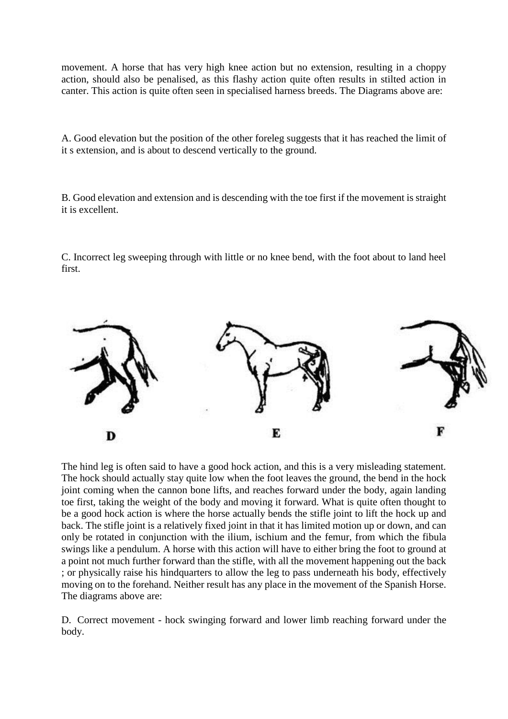movement. A horse that has very high knee action but no extension, resulting in a choppy action, should also be penalised, as this flashy action quite often results in stilted action in canter. This action is quite often seen in specialised harness breeds. The Diagrams above are:

A. Good elevation but the position of the other foreleg suggests that it has reached the limit of it s extension, and is about to descend vertically to the ground.

B. Good elevation and extension and is descending with the toe first if the movement is straight it is excellent.

C. Incorrect leg sweeping through with little or no knee bend, with the foot about to land heel first.



The hind leg is often said to have a good hock action, and this is a very misleading statement. The hock should actually stay quite low when the foot leaves the ground, the bend in the hock joint coming when the cannon bone lifts, and reaches forward under the body, again landing toe first, taking the weight of the body and moving it forward. What is quite often thought to be a good hock action is where the horse actually bends the stifle joint to lift the hock up and back. The stifle joint is a relatively fixed joint in that it has limited motion up or down, and can only be rotated in conjunction with the ilium, ischium and the femur, from which the fibula swings like a pendulum. A horse with this action will have to either bring the foot to ground at a point not much further forward than the stifle, with all the movement happening out the back ; or physically raise his hindquarters to allow the leg to pass underneath his body, effectively moving on to the forehand. Neither result has any place in the movement of the Spanish Horse. The diagrams above are:

D. Correct movement - hock swinging forward and lower limb reaching forward under the body.